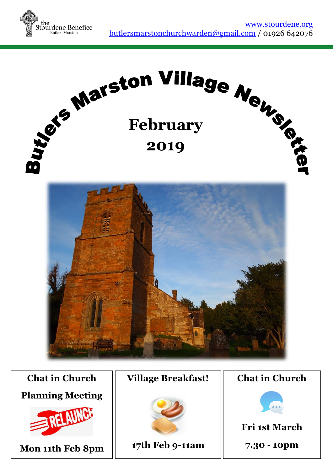



# **Chat in Church Planning Meeting**



**Mon 11th Feb 8pm**

#### **Village Breakfast!**



**17th Feb 9-11am**

#### **Chat in Church**



## **Fri 1st March**

**7.30 - 10pm**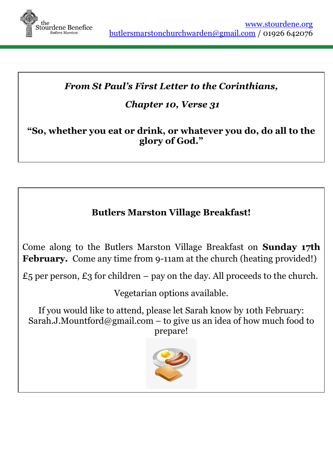

## *From St Paul's First Letter to the Corinthians,*

## *Chapter 10, Verse 31*

## **"So, whether you eat or drink, or whatever you do, do all to the glory of God."**

## **Butlers Marston Village Breakfast!**

Come along to the Butlers Marston Village Breakfast on **Sunday 17th February.** Come any time from 9-11am at the church (heating provided!)

£5 per person, £3 for children – pay on the day. All proceeds to the church.

Vegetarian options available.

If you would like to attend, please let Sarah know by 10th February: [Sarah.J.Mountford@gmail.com](mailto:Sarah.J.Mountford@gmail.com) – to give us an idea of how much food to prepare!

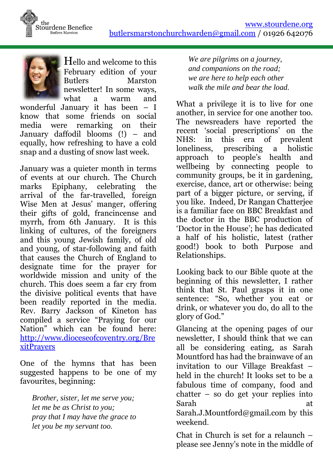



Hello and welcome to this February edition of your Butlers Marston newsletter! In some ways, what a warm and

wonderful January it has been – I know that some friends on social media were remarking on their January daffodil blooms (!) – and equally, how refreshing to have a cold snap and a dusting of snow last week.

January was a quieter month in terms of events at our church. The Church marks Epiphany, celebrating the arrival of the far-travelled, foreign Wise Men at Jesus' manger, offering their gifts of gold, francincense and myrrh, from 6th January. It is this linking of cultures, of the foreigners and this young Jewish family, of old and young, of star-following and faith that causes the Church of England to designate time for the prayer for worldwide mission and unity of the church. This does seem a far cry from the divisive political events that have been readily reported in the media. Rev. Barry Jackson of Kineton has compiled a service "Praying for our Nation" which can be found here: [http://www.dioceseofcoventry.org/Bre](http://www.dioceseofcoventry.org/BrexitPrayers) [xitPrayers](http://www.dioceseofcoventry.org/BrexitPrayers)

One of the hymns that has been suggested happens to be one of my favourites, beginning:

*Brother, sister, let me serve you; let me be as Christ to you; pray that I may have the grace to let you be my servant too.*

*We are pilgrims on a journey, and companions on the road; we are here to help each other walk the mile and bear the load.*

What a privilege it is to live for one another, in service for one another too. The newsreaders have reported the recent 'social prescriptions' on the NHS: in this era of prevalent loneliness, prescribing a holistic approach to people's health and wellbeing by connecting people to community groups, be it in gardening, exercise, dance, art or otherwise: being part of a bigger picture, or serving, if you like. Indeed, Dr Rangan Chatterjee is a familiar face on BBC Breakfast and the doctor in the BBC production of 'Doctor in the House'; he has dedicated a half of his holistic, latest (rather good!) book to both Purpose and Relationships.

Looking back to our Bible quote at the beginning of this newsletter, I rather think that St. Paul grasps it in one sentence: "So, whether you eat or drink, or whatever you do, do all to the glory of God."

Glancing at the opening pages of our newsletter, I should think that we can all be considering eating, as Sarah Mountford has had the brainwave of an invitation to our Village Breakfast – held in the church! It looks set to be a fabulous time of company, food and chatter – so do get your replies into Sarah at [Sarah.J.Mountford@gmail.com](mailto:Sarah.J.Mountford@gmail.com) by this

weekend.

Chat in Church is set for a relaunch – please see Jenny's note in the middle of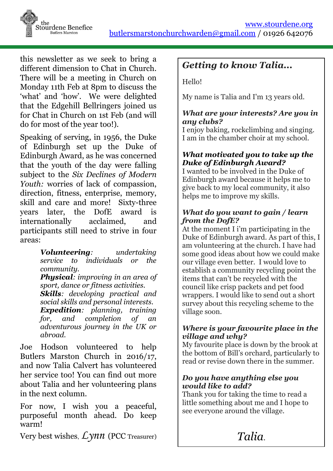

this newsletter as we seek to bring a different dimension to Chat in Church. There will be a meeting in Church on Monday 11th Feb at 8pm to discuss the 'what' and 'how'. We were delighted that the Edgehill Bellringers joined us for Chat in Church on 1st Feb (and will do for most of the year too!).

Speaking of serving, in 1956, the Duke of Edinburgh set up the Duke of Edinburgh Award, as he was concerned that the youth of the day were falling subject to the *Six Declines of Modern Youth:* worries of lack of compassion, direction, fitness, enterprise, memory, skill and care and more! Sixty-three years later, the DofE award is internationally acclaimed, and participants still need to strive in four areas:

> *Volunteering: undertaking service to individuals or the community. Physical: improving in an area of sport, dance or fitness activities. Skills: developing practical and social skills and personal interests. Expedition: planning, training for, and completion of an adventurous journey in the UK or abroad.*

Joe Hodson volunteered to help Butlers Marston Church in 2016/17, and now Talia Calvert has volunteered her service too! You can find out more about Talia and her volunteering plans in the next column.

For now, I wish you a peaceful, purposeful month ahead. Do keep warm!

Very best wishes,*Lynn* (PCC Treasurer)

## *Getting to know Talia...*

Hello!

My name is Talia and I'm 13 years old.

#### *What are your interests? Are you in any clubs?*

I enjoy baking, rockclimbing and singing. I am in the chamber choir at my school.

#### *What motivated you to take up the Duke of Edinburgh Award?*

I wanted to be involved in the Duke of Edinburgh award because it helps me to give back to my local community, it also helps me to improve my skills.

#### *What do you want to gain / learn from the DofE?*

At the moment I i'm participating in the Duke of Edinburgh award. As part of this, I am volunteering at the church. I have had some good ideas about how we could make our village even better. I would love to establish a community recycling point the items that can't be recycled with the council like crisp packets and pet food wrappers. I would like to send out a short survey about this recycling scheme to the village soon.

#### *Where is your favourite place in the village and why?*

My favourite place is down by the brook at the bottom of Bill's orchard, particularly to read or revise down there in the summer.

#### *Do you have anything else you would like to add?*

Thank you for taking the time to read a little something about me and I hope to see everyone around the village.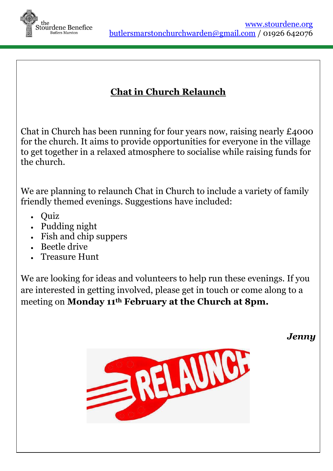

## **Chat in Church Relaunch**

Chat in Church has been running for four years now, raising nearly £4000 for the church. It aims to provide opportunities for everyone in the village to get together in a relaxed atmosphere to socialise while raising funds for the church.

We are planning to relaunch Chat in Church to include a variety of family friendly themed evenings. Suggestions have included:

- Ouiz
- Pudding night
- Fish and chip suppers
- Beetle drive
- Treasure Hunt

We are looking for ideas and volunteers to help run these evenings. If you are interested in getting involved, please get in touch or come along to a meeting on **Monday 11th February at the Church at 8pm.**

*Jenny*

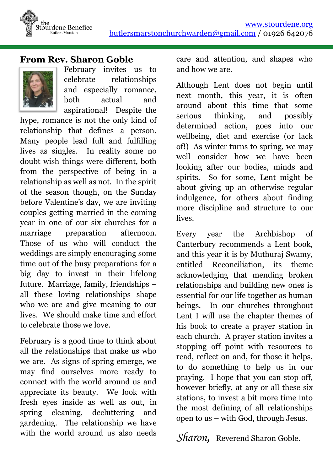

#### **From Rev. Sharon Goble**



February invites us to celebrate relationships and especially romance, both actual and aspirational! Despite the

hype, romance is not the only kind of relationship that defines a person. Many people lead full and fulfilling lives as singles. In reality some no doubt wish things were different, both from the perspective of being in a relationship as well as not. In the spirit of the season though, on the Sunday before Valentine's day, we are inviting couples getting married in the coming year in one of our six churches for a marriage preparation afternoon. Those of us who will conduct the weddings are simply encouraging some time out of the busy preparations for a big day to invest in their lifelong future. Marriage, family, friendships – all these loving relationships shape who we are and give meaning to our lives. We should make time and effort to celebrate those we love.

February is a good time to think about all the relationships that make us who we are. As signs of spring emerge, we may find ourselves more ready to connect with the world around us and appreciate its beauty. We look with fresh eyes inside as well as out, in spring cleaning, decluttering and gardening. The relationship we have with the world around us also needs care and attention, and shapes who and how we are.

Although Lent does not begin until next month, this year, it is often around about this time that some serious thinking, and possibly determined action, goes into our wellbeing, diet and exercise (or lack of!) As winter turns to spring, we may well consider how we have been looking after our bodies, minds and spirits. So for some, Lent might be about giving up an otherwise regular indulgence, for others about finding more discipline and structure to our lives.

Every year the Archbishop of Canterbury recommends a Lent book, and this year it is by Muthuraj Swamy, entitled Reconciliation, its theme acknowledging that mending broken relationships and building new ones is essential for our life together as human beings. In our churches throughout Lent I will use the chapter themes of his book to create a prayer station in each church. A prayer station invites a stopping off point with resources to read, reflect on and, for those it helps, to do something to help us in our praying. I hope that you can stop off, however briefly, at any or all these six stations, to invest a bit more time into the most defining of all relationships open to us – with God, through Jesus.

*Sharon*, Reverend Sharon Goble.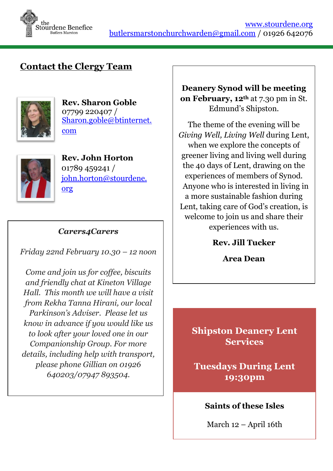

## **Contact the Clergy Team**



**Rev. Sharon Goble** 07799 220407 / [Sharon.goble@btinternet.](mailto:Sharon.goble@btinternet.com) [com](mailto:Sharon.goble@btinternet.com)



**Rev. John Horton** 01789 459241 / [john.horton@stourdene.](mailto:john.horton@stourdene.org) [org](mailto:john.horton@stourdene.org)

#### *Carers4Carers*

*Friday 22nd February 10.30 – 12 noon*

*Come and join us for coffee, biscuits and friendly chat at Kineton Village Hall. This month we will have a visit from Rekha Tanna Hirani, our local Parkinson's Adviser. Please let us know in advance if you would like us to look after your loved one in our Companionship Group. For more details, including help with transport, please phone Gillian on 01926 640203/07947 893504.*

**Deanery Synod will be meeting on February, 12th** at 7.30 pm in St. Edmund's Shipston.

The theme of the evening will be *Giving Well, Living Well* during Lent, when we explore the concepts of greener living and living well during the 40 days of Lent, drawing on the experiences of members of Synod. Anyone who is interested in living in a more sustainable fashion during Lent, taking care of God's creation, is welcome to join us and share their experiences with us.

**Rev. Jill Tucker**

**Area Dean**

**Shipston Deanery Lent Services**

**Tuesdays During Lent 19:30pm**

#### **Saints of these Isles**

March 12 – April 16th